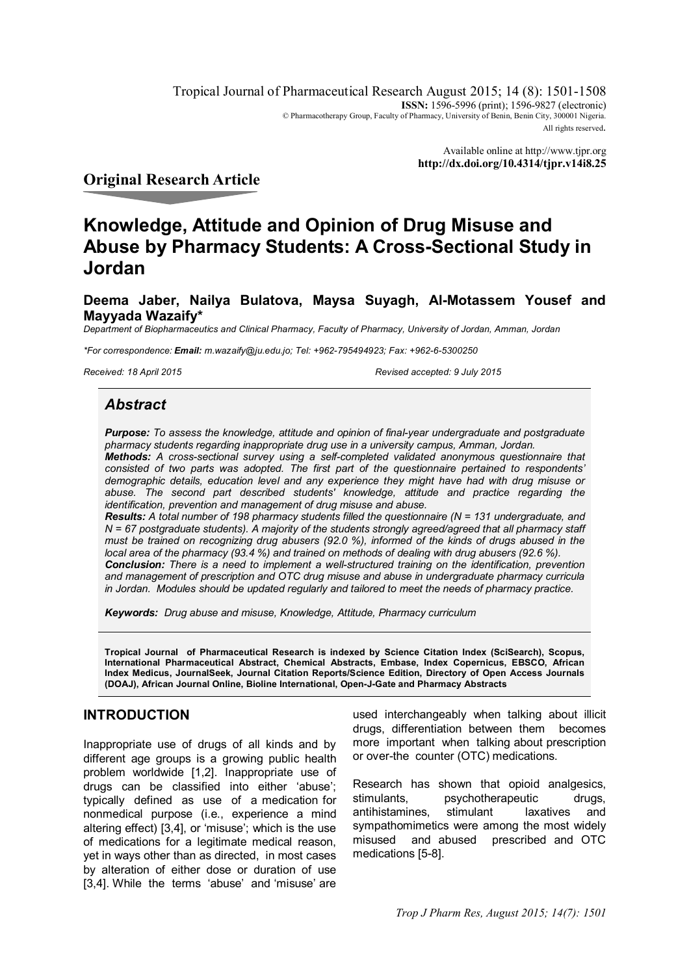Tropical Journal of Pharmaceutical Research August 2015; 14 (8): 1501-1508 **ISSN:** 1596-5996 (print); 1596-9827 (electronic) © Pharmacotherapy Group, Faculty of Pharmacy, University of Benin, Benin City, 300001 Nigeria. All rights reserved.

> Available online at http://www.tjpr.org **http://dx.doi.org/10.4314/tjpr.v14i8.25**

## **Original Research Article**

# **Knowledge, Attitude and Opinion of Drug Misuse and Abuse by Pharmacy Students: A Cross-Sectional Study in Jordan**

**Deema Jaber, Nailya Bulatova, Maysa Suyagh, Al-Motassem Yousef and Mayyada Wazaify\***

*Department of Biopharmaceutics and Clinical Pharmacy, Faculty of Pharmacy, University of Jordan, Amman, Jordan*

*\*For correspondence: Email: m.wazaify@ju.edu.jo; Tel: +962-795494923; Fax: +962-6-5300250*

*Received: 18 April 2015 Revised accepted: 9 July 2015*

### *Abstract*

*Purpose: To assess the knowledge, attitude and opinion of final-year undergraduate and postgraduate pharmacy students regarding inappropriate drug use in a university campus, Amman, Jordan. Methods: A cross-sectional survey using a self-completed validated anonymous questionnaire that consisted of two parts was adopted. The first part of the questionnaire pertained to respondents' demographic details, education level and any experience they might have had with drug misuse or abuse. The second part described students' knowledge, attitude and practice regarding the identification, prevention and management of drug misuse and abuse.* 

*Results: A total number of 198 pharmacy students filled the questionnaire (N = 131 undergraduate, and N = 67 postgraduate students). A majority of the students strongly agreed/agreed that all pharmacy staff must be trained on recognizing drug abusers (92.0 %), informed of the kinds of drugs abused in the local area of the pharmacy (93.4 %) and trained on methods of dealing with drug abusers (92.6 %). Conclusion: There is a need to implement a well-structured training on the identification, prevention* 

*and management of prescription and OTC drug misuse and abuse in undergraduate pharmacy curricula in Jordan. Modules should be updated regularly and tailored to meet the needs of pharmacy practice.*

*Keywords: Drug abuse and misuse, Knowledge, Attitude, Pharmacy curriculum*

**Tropical Journal of Pharmaceutical Research is indexed by Science Citation Index (SciSearch), Scopus, International Pharmaceutical Abstract, Chemical Abstracts, Embase, Index Copernicus, EBSCO, African Index Medicus, JournalSeek, Journal Citation Reports/Science Edition, Directory of Open Access Journals (DOAJ), African Journal Online, Bioline International, Open-J-Gate and Pharmacy Abstracts**

#### **INTRODUCTION**

Inappropriate use of drugs of all kinds and by different age groups is a growing public health problem worldwide [1,2]. Inappropriate use of drugs can be classified into either 'abuse'; typically defined as use of a medication for nonmedical purpose (i.e., experience a mind altering effect) [3,4], or 'misuse'; which is the use of medications for a legitimate medical reason, yet in ways other than as directed, in most cases by alteration of either dose or duration of use [3,4]. While the terms 'abuse' and 'misuse' are

used interchangeably when talking about illicit drugs, differentiation between them becomes more important when talking about prescription or over-the counter (OTC) medications.

Research has shown that opioid analgesics, stimulants, psychotherapeutic drugs, antihistamines, stimulant laxatives and sympathomimetics were among the most widely misused and abused prescribed and OTC medications [5-8].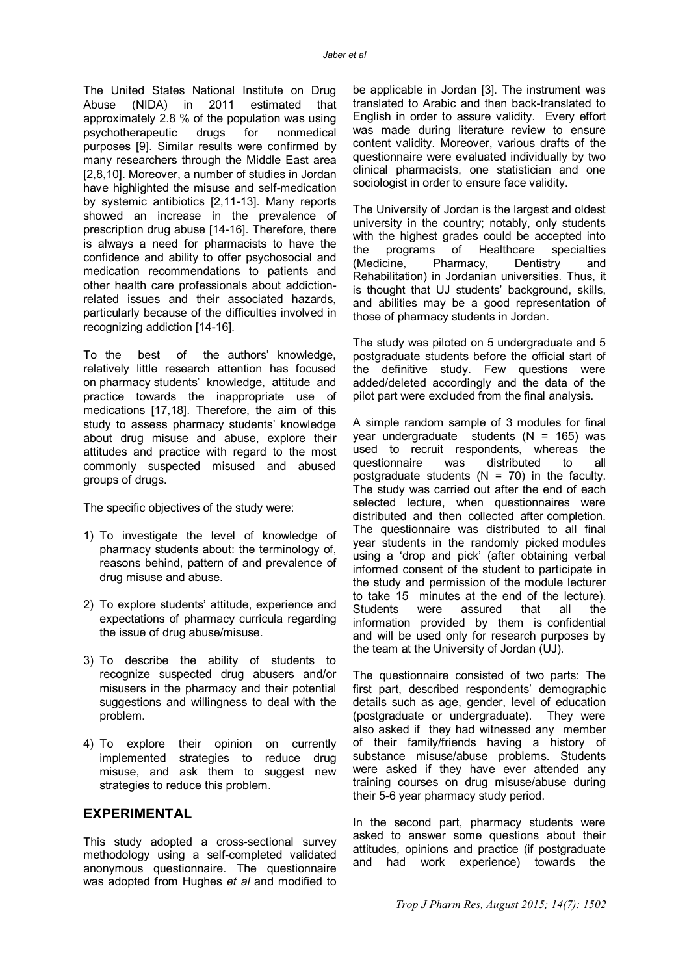The United States National Institute on Drug Abuse (NIDA) in 2011 estimated that approximately 2.8 % of the population was using psychotherapeutic drugs for nonmedical purposes [9]. Similar results were confirmed by many researchers through the Middle East area [2,8,10]. Moreover, a number of studies in Jordan have highlighted the misuse and self-medication by systemic antibiotics [2,11-13]. Many reports showed an increase in the prevalence of prescription drug abuse [14-16]. Therefore, there is always a need for pharmacists to have the confidence and ability to offer psychosocial and medication recommendations to patients and other health care professionals about addictionrelated issues and their associated hazards, particularly because of the difficulties involved in recognizing addiction [14-16].

To the best of the authors' knowledge, relatively little research attention has focused on pharmacy students' knowledge, attitude and practice towards the inappropriate use of medications [17,18]. Therefore, the aim of this study to assess pharmacy students' knowledge about drug misuse and abuse, explore their attitudes and practice with regard to the most commonly suspected misused and abused groups of drugs.

The specific objectives of the study were:

- 1) To investigate the level of knowledge of pharmacy students about: the terminology of, reasons behind, pattern of and prevalence of drug misuse and abuse.
- 2) To explore students' attitude, experience and expectations of pharmacy curricula regarding the issue of drug abuse/misuse.
- 3) To describe the ability of students to recognize suspected drug abusers and/or misusers in the pharmacy and their potential suggestions and willingness to deal with the problem.
- 4) To explore their opinion on currently implemented strategies to reduce drug misuse, and ask them to suggest new strategies to reduce this problem.

#### **EXPERIMENTAL**

This study adopted a cross-sectional survey methodology using a self-completed validated anonymous questionnaire. The questionnaire was adopted from Hughes *et al* and modified to be applicable in Jordan [3]. The instrument was translated to Arabic and then back-translated to English in order to assure validity. Every effort was made during literature review to ensure content validity. Moreover, various drafts of the questionnaire were evaluated individually by two clinical pharmacists, one statistician and one sociologist in order to ensure face validity.

The University of Jordan is the largest and oldest university in the country; notably, only students with the highest grades could be accepted into the programs of Healthcare specialties (Medicine, Pharmacy, Dentistry and Rehabilitation) in Jordanian universities. Thus, it is thought that UJ students' background, skills, and abilities may be a good representation of those of pharmacy students in Jordan.

The study was piloted on 5 undergraduate and 5 postgraduate students before the official start of the definitive study. Few questions were added/deleted accordingly and the data of the pilot part were excluded from the final analysis.

A simple random sample of 3 modules for final year undergraduate students  $(N = 165)$  was used to recruit respondents, whereas the questionnaire was distributed to all postgraduate students  $(N = 70)$  in the faculty. The study was carried out after the end of each selected lecture, when questionnaires were distributed and then collected after completion. The questionnaire was distributed to all final year students in the randomly picked modules using a 'drop and pick' (after obtaining verbal informed consent of the student to participate in the study and permission of the module lecturer to take 15 minutes at the end of the lecture). Students were assured that all the information provided by them is confidential and will be used only for research purposes by the team at the University of Jordan (UJ).

The questionnaire consisted of two parts: The first part, described respondents' demographic details such as age, gender, level of education (postgraduate or undergraduate). They were also asked if they had witnessed any member of their family/friends having a history of substance misuse/abuse problems. Students were asked if they have ever attended any training courses on drug misuse/abuse during their 5-6 year pharmacy study period.

In the second part, pharmacy students were asked to answer some questions about their attitudes, opinions and practice (if postgraduate and had work experience) towards the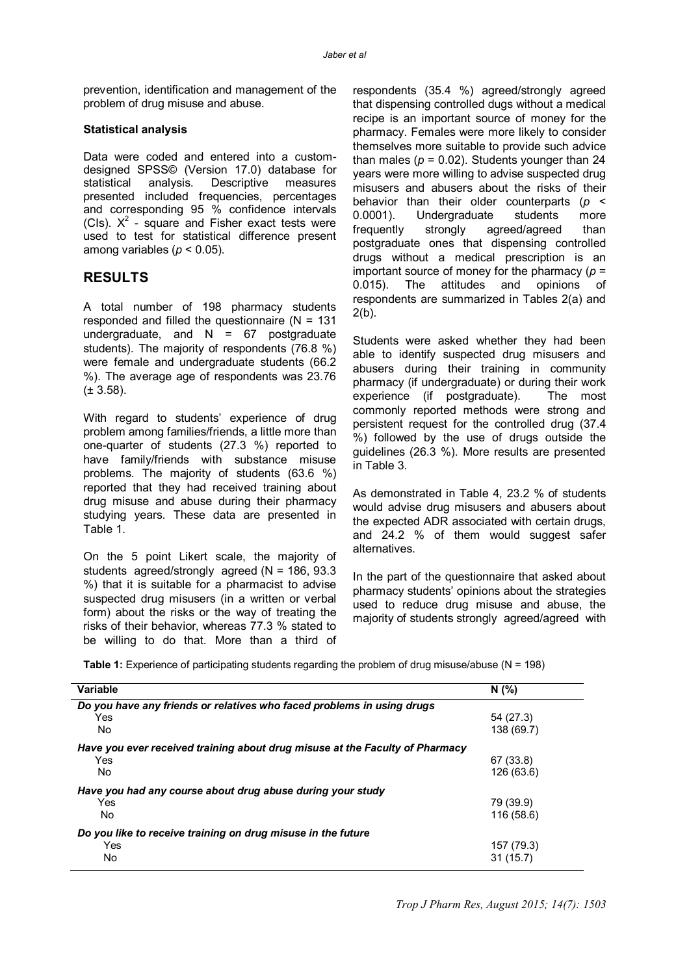prevention, identification and management of the problem of drug misuse and abuse.

#### **Statistical analysis**

Data were coded and entered into a customdesigned SPSS© (Version 17.0) database for statistical analysis. Descriptive measures presented included frequencies, percentages and corresponding 95 % confidence intervals (Cls).  $X^2$  - square and Fisher exact tests were used to test for statistical difference present among variables ( $p < 0.05$ ).

### **RESULTS**

A total number of 198 pharmacy students responded and filled the questionnaire (N = 131 undergraduate, and  $N = 67$  postgraduate students). The majority of respondents (76.8 %) were female and undergraduate students (66.2 %). The average age of respondents was 23.76  $(\pm 3.58)$ .

With regard to students' experience of drug problem among families/friends, a little more than one-quarter of students (27.3 %) reported to have family/friends with substance misuse problems. The majority of students (63.6 %) reported that they had received training about drug misuse and abuse during their pharmacy studying years. These data are presented in Table 1.

On the 5 point Likert scale, the majority of students agreed/strongly agreed (N = 186, 93.3 %) that it is suitable for a pharmacist to advise suspected drug misusers (in a written or verbal form) about the risks or the way of treating the risks of their behavior, whereas 77.3 % stated to be willing to do that. More than a third of

respondents (35.4 %) agreed/strongly agreed that dispensing controlled dugs without a medical recipe is an important source of money for the pharmacy. Females were more likely to consider themselves more suitable to provide such advice than males  $(p = 0.02)$ . Students younger than 24 years were more willing to advise suspected drug misusers and abusers about the risks of their behavior than their older counterparts (*p* < 0.0001). Undergraduate students more frequently strongly agreed/agreed than postgraduate ones that dispensing controlled drugs without a medical prescription is an important source of money for the pharmacy  $(p =$ 0.015). The attitudes and opinions of respondents are summarized in Tables 2(a) and  $2(b)$ .

Students were asked whether they had been able to identify suspected drug misusers and abusers during their training in community pharmacy (if undergraduate) or during their work experience (if postgraduate). The most commonly reported methods were strong and persistent request for the controlled drug (37.4 %) followed by the use of drugs outside the guidelines (26.3 %). More results are presented in Table 3.

As demonstrated in Table 4, 23.2 % of students would advise drug misusers and abusers about the expected ADR associated with certain drugs, and 24.2 % of them would suggest safer alternatives.

In the part of the questionnaire that asked about pharmacy students' opinions about the strategies used to reduce drug misuse and abuse, the majority of students strongly agreed/agreed with

| Variable                                                                     | N(%)       |
|------------------------------------------------------------------------------|------------|
| Do you have any friends or relatives who faced problems in using drugs       |            |
| Yes                                                                          | 54 (27.3)  |
| <b>No</b>                                                                    | 138 (69.7) |
| Have you ever received training about drug misuse at the Faculty of Pharmacy |            |
| Yes                                                                          | 67 (33.8)  |
| <b>No</b>                                                                    | 126 (63.6) |
| Have you had any course about drug abuse during your study                   |            |
| Yes                                                                          | 79 (39.9)  |
| No                                                                           | 116 (58.6) |
| Do you like to receive training on drug misuse in the future                 |            |
| Yes                                                                          | 157 (79.3) |
| No                                                                           | 31(15.7)   |

**Table 1:** Experience of participating students regarding the problem of drug misuse/abuse (N = 198)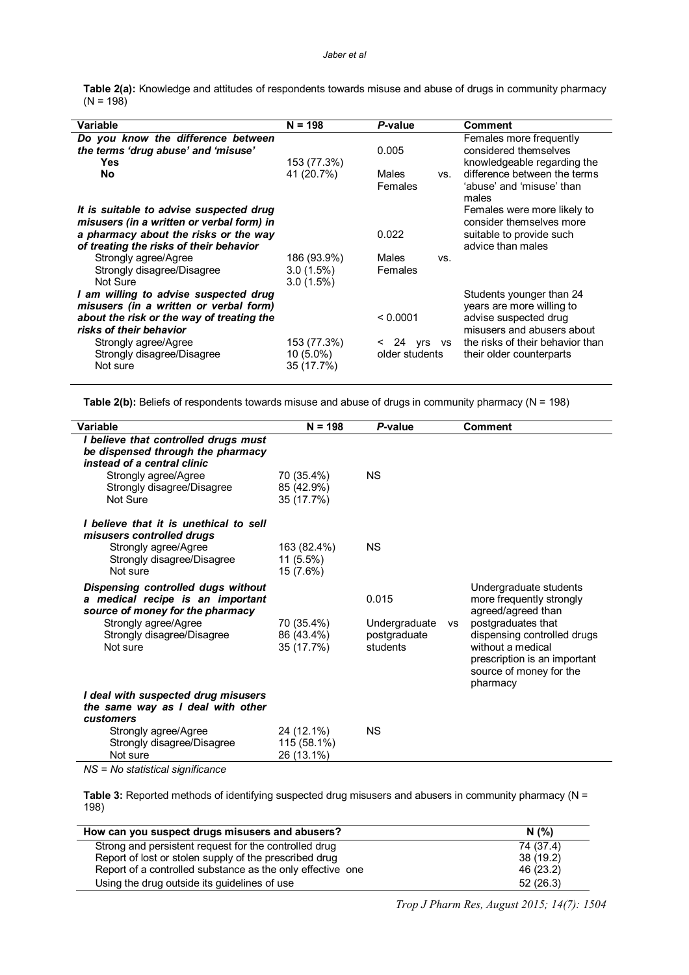| Table 2(a): Knowledge and attitudes of respondents towards misuse and abuse of drugs in community pharmacy |  |  |
|------------------------------------------------------------------------------------------------------------|--|--|
| $(N = 198)$                                                                                                |  |  |

| Variable                                                                                                                     | $N = 198$                                   | P-value                            | <b>Comment</b>                                                                             |
|------------------------------------------------------------------------------------------------------------------------------|---------------------------------------------|------------------------------------|--------------------------------------------------------------------------------------------|
| Do you know the difference between<br>the terms 'drug abuse' and 'misuse'                                                    |                                             | 0.005                              | Females more frequently<br>considered themselves                                           |
| <b>Yes</b>                                                                                                                   | 153 (77.3%)                                 |                                    | knowledgeable regarding the                                                                |
| <b>No</b>                                                                                                                    | 41 (20.7%)                                  | Males<br>VS.<br>Females            | difference between the terms<br>'abuse' and 'misuse' than<br>males                         |
| It is suitable to advise suspected drug<br>misusers (in a written or verbal form) in                                         |                                             |                                    | Females were more likely to<br>consider themselves more                                    |
| a pharmacy about the risks or the way<br>of treating the risks of their behavior                                             |                                             | 0.022                              | suitable to provide such<br>advice than males                                              |
| Strongly agree/Agree<br>Strongly disagree/Disagree<br>Not Sure                                                               | 186 (93.9%)<br>$3.0(1.5\%)$<br>$3.0(1.5\%)$ | Males<br>VS.<br>Females            |                                                                                            |
| I am willing to advise suspected drug<br>misusers (in a written or verbal form)<br>about the risk or the way of treating the |                                             | < 0.0001                           | Students younger than 24<br>years are more willing to<br>advise suspected drug             |
| risks of their behavior<br>Strongly agree/Agree<br>Strongly disagree/Disagree<br>Not sure                                    | 153 (77.3%)<br>10 (5.0%)<br>35 (17.7%)      | $< 24$ yrs<br>vs<br>older students | misusers and abusers about<br>the risks of their behavior than<br>their older counterparts |

**Table 2(b):** Beliefs of respondents towards misuse and abuse of drugs in community pharmacy (N = 198)

| Variable                                                                                                                                                                   | $N = 198$                               | P-value                                   |           | <b>Comment</b>                                                                                                                                |
|----------------------------------------------------------------------------------------------------------------------------------------------------------------------------|-----------------------------------------|-------------------------------------------|-----------|-----------------------------------------------------------------------------------------------------------------------------------------------|
| I believe that controlled drugs must<br>be dispensed through the pharmacy<br>instead of a central clinic<br>Strongly agree/Agree<br>Strongly disagree/Disagree<br>Not Sure | 70 (35.4%)<br>85 (42.9%)<br>35 (17.7%)  | <b>NS</b>                                 |           |                                                                                                                                               |
| I believe that it is unethical to sell<br>misusers controlled drugs<br>Strongly agree/Agree<br>Strongly disagree/Disagree<br>Not sure                                      | 163 (82.4%)<br>11 (5.5%)<br>15 (7.6%)   | <b>NS</b>                                 |           |                                                                                                                                               |
| Dispensing controlled dugs without<br>a medical recipe is an important<br>source of money for the pharmacy                                                                 |                                         | 0.015                                     |           | Undergraduate students<br>more frequently strongly<br>agreed/agreed than                                                                      |
| Strongly agree/Agree<br>Strongly disagree/Disagree<br>Not sure                                                                                                             | 70 (35.4%)<br>86 (43.4%)<br>35 (17.7%)  | Undergraduate<br>postgraduate<br>students | <b>VS</b> | postgraduates that<br>dispensing controlled drugs<br>without a medical<br>prescription is an important<br>source of money for the<br>pharmacy |
| I deal with suspected drug misusers<br>the same way as I deal with other<br>customers                                                                                      |                                         |                                           |           |                                                                                                                                               |
| Strongly agree/Agree<br>Strongly disagree/Disagree<br>Not sure                                                                                                             | 24 (12.1%)<br>115 (58.1%)<br>26 (13.1%) | <b>NS</b>                                 |           |                                                                                                                                               |

*NS = No statistical significance*

**Table 3:** Reported methods of identifying suspected drug misusers and abusers in community pharmacy (N = 198)

| How can you suspect drugs misusers and abusers?            | N(%)      |
|------------------------------------------------------------|-----------|
| Strong and persistent request for the controlled drug      | 74 (37.4) |
| Report of lost or stolen supply of the prescribed drug     | 38(19.2)  |
| Report of a controlled substance as the only effective one | 46 (23.2) |
| Using the drug outside its guidelines of use               | 52(26.3)  |

*Trop J Pharm Res, August 2015; 14(7): 1504*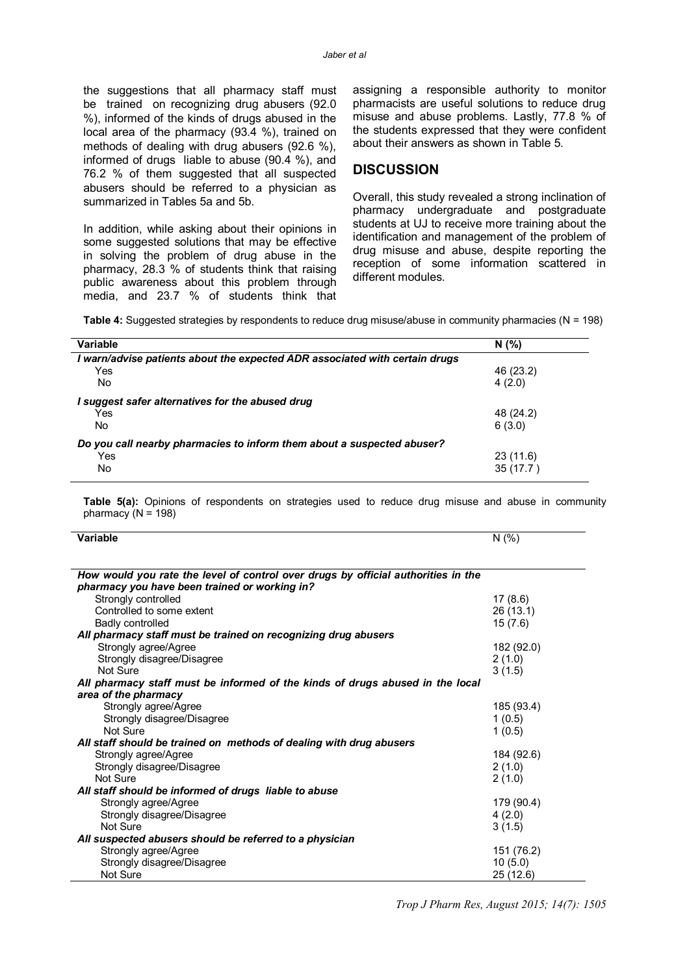the suggestions that all pharmacy staff must be trained on recognizing drug abusers (92.0 %), informed of the kinds of drugs abused in the local area of the pharmacy (93.4 %), trained on methods of dealing with drug abusers (92.6 %), informed of drugs liable to abuse (90.4 %), and 76.2 % of them suggested that all suspected abusers should be referred to a physician as summarized in Tables 5a and 5b.

In addition, while asking about their opinions in some suggested solutions that may be effective in solving the problem of drug abuse in the pharmacy, 28.3 % of students think that raising public awareness about this problem through media, and 23.7 % of students think that assigning a responsible authority to monitor pharmacists are useful solutions to reduce drug misuse and abuse problems. Lastly, 77.8 % of the students expressed that they were confident about their answers as shown in Table 5.

## **DISCUSSION**

Overall, this study revealed a strong inclination of pharmacy undergraduate and postgraduate students at UJ to receive more training about the identification and management of the problem of drug misuse and abuse, despite reporting the reception of some information scattered in different modules.

**Table 4:** Suggested strategies by respondents to reduce drug misuse/abuse in community pharmacies (N = 198)

| Variable                                                                    | N(%)      |
|-----------------------------------------------------------------------------|-----------|
| I warn/advise patients about the expected ADR associated with certain drugs |           |
| Yes                                                                         | 46 (23.2) |
| No.                                                                         | 4(2.0)    |
| suggest safer alternatives for the abused drug                              |           |
| Yes                                                                         | 48 (24.2) |
| No                                                                          | 6(3.0)    |
| Do you call nearby pharmacies to inform them about a suspected abuser?      |           |
| Yes                                                                         | 23(11.6)  |
| No.                                                                         | 35(17.7)  |

**Table 5(a):** Opinions of respondents on strategies used to reduce drug misuse and abuse in community pharmacy  $(N = 198)$ 

| How would you rate the level of control over drugs by official authorities in the<br>pharmacy you have been trained or working in?<br>Strongly controlled | 17(8.6)    |
|-----------------------------------------------------------------------------------------------------------------------------------------------------------|------------|
|                                                                                                                                                           |            |
|                                                                                                                                                           |            |
|                                                                                                                                                           |            |
|                                                                                                                                                           |            |
| Controlled to some extent                                                                                                                                 | 26(13.1)   |
| <b>Badly controlled</b>                                                                                                                                   | 15(7.6)    |
| All pharmacy staff must be trained on recognizing drug abusers                                                                                            |            |
| Strongly agree/Agree                                                                                                                                      | 182 (92.0) |
| Strongly disagree/Disagree                                                                                                                                | 2(1.0)     |
| Not Sure                                                                                                                                                  | 3(1.5)     |
| All pharmacy staff must be informed of the kinds of drugs abused in the local                                                                             |            |
| area of the pharmacy                                                                                                                                      |            |
| Strongly agree/Agree                                                                                                                                      | 185 (93.4) |
| Strongly disagree/Disagree                                                                                                                                | 1(0.5)     |
| Not Sure                                                                                                                                                  | 1(0.5)     |
| All staff should be trained on methods of dealing with drug abusers                                                                                       |            |
| Strongly agree/Agree                                                                                                                                      | 184 (92.6) |
| Strongly disagree/Disagree                                                                                                                                | 2(1.0)     |
| Not Sure                                                                                                                                                  | 2(1.0)     |
| All staff should be informed of drugs liable to abuse                                                                                                     |            |
| Strongly agree/Agree                                                                                                                                      | 179 (90.4) |
| Strongly disagree/Disagree                                                                                                                                | 4(2.0)     |
| Not Sure                                                                                                                                                  | 3(1.5)     |
| All suspected abusers should be referred to a physician                                                                                                   |            |
| Strongly agree/Agree                                                                                                                                      | 151 (76.2) |
| Strongly disagree/Disagree                                                                                                                                | 10(5.0)    |
| Not Sure                                                                                                                                                  | 25(12.6)   |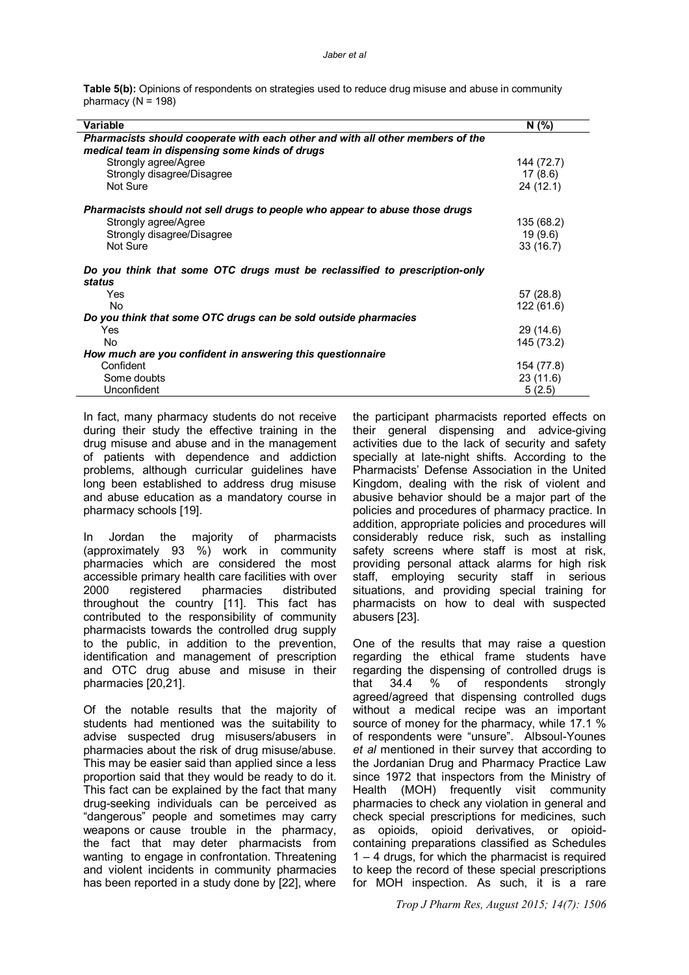**Table 5(b):** Opinions of respondents on strategies used to reduce drug misuse and abuse in community pharmacy  $(N = 198)$ 

| Variable                                                                       | N(%)       |
|--------------------------------------------------------------------------------|------------|
| Pharmacists should cooperate with each other and with all other members of the |            |
| medical team in dispensing some kinds of drugs                                 |            |
| Strongly agree/Agree                                                           | 144 (72.7) |
|                                                                                |            |
| Strongly disagree/Disagree                                                     | 17(8.6)    |
| Not Sure                                                                       | 24(12.1)   |
| Pharmacists should not sell drugs to people who appear to abuse those drugs    |            |
| Strongly agree/Agree                                                           | 135 (68.2) |
|                                                                                |            |
| Strongly disagree/Disagree                                                     | 19(9.6)    |
| Not Sure                                                                       | 33(16.7)   |
| Do you think that some OTC drugs must be reclassified to prescription-only     |            |
| status                                                                         |            |
| Yes                                                                            | 57 (28.8)  |
| <b>No</b>                                                                      | 122 (61.6) |
| Do you think that some OTC drugs can be sold outside pharmacies                |            |
| Yes                                                                            | 29 (14.6)  |
| No                                                                             | 145 (73.2) |
| How much are you confident in answering this questionnaire                     |            |
| Confident                                                                      | 154 (77.8) |
| Some doubts                                                                    | 23(11.6)   |
| Unconfident                                                                    | 5(2.5)     |
|                                                                                |            |

In fact, many pharmacy students do not receive during their study the effective training in the drug misuse and abuse and in the management of patients with dependence and addiction problems, although curricular guidelines have long been established to address drug misuse and abuse education as a mandatory course in pharmacy schools [19].

In Jordan the majority of pharmacists (approximately 93 %) work in community pharmacies which are considered the most accessible primary health care facilities with over 2000 registered pharmacies distributed throughout the country [11]. This fact has contributed to the responsibility of community pharmacists towards the controlled drug supply to the public, in addition to the prevention, identification and management of prescription and OTC drug abuse and misuse in their pharmacies [20,21].

Of the notable results that the majority of students had mentioned was the suitability to advise suspected drug misusers/abusers in pharmacies about the risk of drug misuse/abuse. This may be easier said than applied since a less proportion said that they would be ready to do it. This fact can be explained by the fact that many drug-seeking individuals can be perceived as "dangerous" people and sometimes may carry weapons or cause trouble in the pharmacy, the fact that may deter pharmacists from wanting to engage in confrontation. Threatening and violent incidents in community pharmacies has been reported in a study done by [22], where

the participant pharmacists reported effects on their general dispensing and advice-giving activities due to the lack of security and safety specially at late-night shifts. According to the Pharmacists' Defense Association in the United Kingdom, dealing with the risk of violent and abusive behavior should be a major part of the policies and procedures of pharmacy practice. In addition, appropriate policies and procedures will considerably reduce risk, such as installing safety screens where staff is most at risk, providing personal attack alarms for high risk staff, employing security staff in serious situations, and providing special training for pharmacists on how to deal with suspected abusers [23].

One of the results that may raise a question regarding the ethical frame students have regarding the dispensing of controlled drugs is<br>that 34.4 % of respondents strongly that  $34.4$  % of respondents agreed/agreed that dispensing controlled dugs without a medical recipe was an important source of money for the pharmacy, while 17.1 % of respondents were "unsure". Albsoul-Younes *et al* mentioned in their survey that according to the Jordanian Drug and Pharmacy Practice Law since 1972 that inspectors from the Ministry of Health (MOH) frequently visit community pharmacies to check any violation in general and check special prescriptions for medicines, such as opioids, opioid derivatives, or opioidcontaining preparations classified as Schedules 1 – 4 drugs, for which the pharmacist is required to keep the record of these special prescriptions for MOH inspection. As such, it is a rare

*Trop J Pharm Res, August 2015; 14(7): 1506*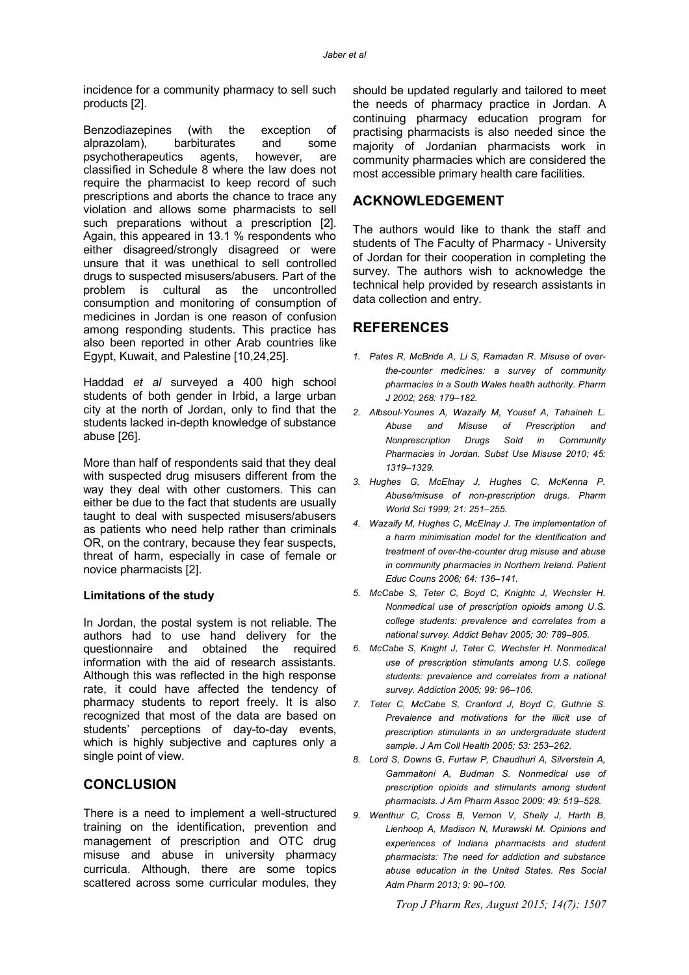incidence for a community pharmacy to sell such products [2].

Benzodiazepines (with the exception of alprazolam), barbiturates and some psychotherapeutics agents, however, are classified in Schedule 8 where the law does not require the pharmacist to keep record of such prescriptions and aborts the chance to trace any violation and allows some pharmacists to sell such preparations without a prescription [2]. Again, this appeared in 13.1 % respondents who either disagreed/strongly disagreed or were unsure that it was unethical to sell controlled drugs to suspected misusers/abusers. Part of the problem is cultural as the uncontrolled consumption and monitoring of consumption of medicines in Jordan is one reason of confusion among responding students. This practice has also been reported in other Arab countries like Egypt, Kuwait, and Palestine [10,24,25].

Haddad *et al* surveyed a 400 high school students of both gender in Irbid, a large urban city at the north of Jordan, only to find that the students lacked in-depth knowledge of substance abuse [26].

More than half of respondents said that they deal with suspected drug misusers different from the way they deal with other customers. This can either be due to the fact that students are usually taught to deal with suspected misusers/abusers as patients who need help rather than criminals OR, on the contrary, because they fear suspects, threat of harm, especially in case of female or novice pharmacists [2].

#### **Limitations of the study**

In Jordan, the postal system is not reliable. The authors had to use hand delivery for the questionnaire and obtained the required information with the aid of research assistants. Although this was reflected in the high response rate, it could have affected the tendency of pharmacy students to report freely. It is also recognized that most of the data are based on students' perceptions of day-to-day events, which is highly subjective and captures only a single point of view.

#### **CONCLUSION**

There is a need to implement a well-structured training on the identification, prevention and management of prescription and OTC drug misuse and abuse in university pharmacy curricula. Although, there are some topics scattered across some curricular modules, they

should be updated regularly and tailored to meet the needs of pharmacy practice in Jordan. A continuing pharmacy education program for practising pharmacists is also needed since the majority of Jordanian pharmacists work in community pharmacies which are considered the most accessible primary health care facilities.

## **ACKNOWLEDGEMENT**

The authors would like to thank the staff and students of The Faculty of Pharmacy - University of Jordan for their cooperation in completing the survey. The authors wish to acknowledge the technical help provided by research assistants in data collection and entry.

## **REFERENCES**

- *1. Pates R, McBride A, Li S, Ramadan R. Misuse of overthe-counter medicines: a survey of community pharmacies in a South Wales health authority. Pharm J 2002; 268: 179–182.*
- *2. Albsoul-Younes A, Wazaify M, Yousef A, Tahaineh L. Abuse and Misuse of Prescription and Nonprescription Drugs Sold in Community Pharmacies in Jordan. Subst Use Misuse 2010; 45: 1319–1329.*
- *3. Hughes G, McElnay J, Hughes C, McKenna P. Abuse/misuse of non-prescription drugs. Pharm World Sci 1999; 21: 251–255.*
- *4. Wazaify M, Hughes C, McElnay J. The implementation of a harm minimisation model for the identification and treatment of over-the-counter drug misuse and abuse in community pharmacies in Northern Ireland. Patient Educ Couns 2006; 64: 136–141.*
- *5. McCabe S, Teter C, Boyd C, Knightc J, Wechsler H. Nonmedical use of prescription opioids among U.S. college students: prevalence and correlates from a national survey. Addict Behav 2005; 30: 789–805.*
- *6. McCabe S, Knight J, Teter C, Wechsler H. Nonmedical use of prescription stimulants among U.S. college students: prevalence and correlates from a national survey. Addiction 2005; 99: 96–106.*
- *7. Teter C, McCabe S, Cranford J, Boyd C, Guthrie S. Prevalence and motivations for the illicit use of prescription stimulants in an undergraduate student sample. J Am Coll Health 2005; 53: 253–262.*
- *8. Lord S, Downs G, Furtaw P, Chaudhuri A, Silverstein A, Gammaitoni A, Budman S. Nonmedical use of prescription opioids and stimulants among student pharmacists. J Am Pharm Assoc 2009; 49: 519–528.*
- *9. Wenthur C, Cross B, Vernon V, Shelly J, Harth B, Lienhoop A, Madison N, Murawski M. Opinions and experiences of Indiana pharmacists and student pharmacists: The need for addiction and substance abuse education in the United States. Res Social Adm Pharm 2013; 9: 90–100.*

*Trop J Pharm Res, August 2015; 14(7): 1507*